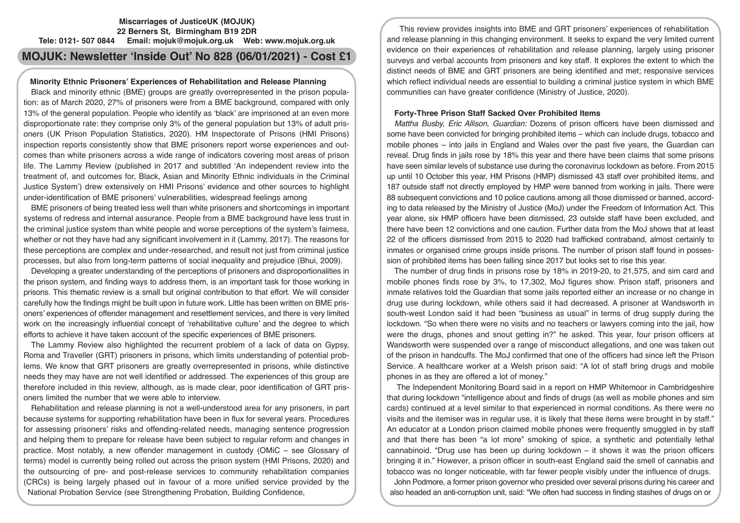# **Miscarriages of JusticeUK (MOJUK) 22 Berners St, Birmingham B19 2DR Tele: 0121- 507 0844 Email: mojuk@mojuk.org.uk Web: www.mojuk.org.uk**

# **MOJUK: Newsletter 'Inside Out' No 828 (06/01/2021) - Cost £1**

# **Minority Ethnic Prisoners' Experiences of Rehabilitation and Release Planning**

Black and minority ethnic (BME) groups are greatly overrepresented in the prison population: as of March 2020, 27% of prisoners were from a BME background, compared with only 13% of the general population. People who identify as 'black' are imprisoned at an even more disproportionate rate: they comprise only 3% of the general population but 13% of adult prisoners (UK Prison Population Statistics, 2020). HM Inspectorate of Prisons (HMI Prisons) inspection reports consistently show that BME prisoners report worse experiences and outcomes than white prisoners across a wide range of indicators covering most areas of prison life. The Lammy Review (published in 2017 and subtitled 'An independent review into the treatment of, and outcomes for, Black, Asian and Minority Ethnic individuals in the Criminal Justice System') drew extensively on HMI Prisons' evidence and other sources to highlight under-identification of BME prisoners' vulnerabilities, widespread feelings among

BME prisoners of being treated less well than white prisoners and shortcomings in important systems of redress and internal assurance. People from a BME background have less trust in the criminal justice system than white people and worse perceptions of the system's fairness, whether or not they have had any significant involvement in it (Lammy, 2017). The reasons for these perceptions are complex and under-researched, and result not just from criminal justice processes, but also from long-term patterns of social inequality and prejudice (Bhui, 2009).

Developing a greater understanding of the perceptions of prisoners and disproportionalities in the prison system, and finding ways to address them, is an important task for those working in prisons. This thematic review is a small but original contribution to that effort. We will consider carefully how the findings might be built upon in future work. Little has been written on BME prisoners' experiences of offender management and resettlement services, and there is very limited work on the increasingly influential concept of 'rehabilitative culture' and the degree to which efforts to achieve it have taken account of the specific experiences of BME prisoners.

The Lammy Review also highlighted the recurrent problem of a lack of data on Gypsy, Roma and Traveller (GRT) prisoners in prisons, which limits understanding of potential problems. We know that GRT prisoners are greatly overrepresented in prisons, while distinctive needs they may have are not well identified or addressed. The experiences of this group are therefore included in this review, although, as is made clear, poor identification of GRT prisoners limited the number that we were able to interview.

Rehabilitation and release planning is not a well-understood area for any prisoners, in part because systems for supporting rehabilitation have been in flux for several years. Procedures for assessing prisoners' risks and offending-related needs, managing sentence progression and helping them to prepare for release have been subject to regular reform and changes in practice. Most notably, a new offender management in custody (OMiC – see Glossary of terms) model is currently being rolled out across the prison system (HMI Prisons, 2020) and the outsourcing of pre- and post-release services to community rehabilitation companies (CRCs) is being largely phased out in favour of a more unified service provided by the National Probation Service (see Strengthening Probation, Building Confidence,

This review provides insights into BME and GRT prisoners' experiences of rehabilitation and release planning in this changing environment. It seeks to expand the very limited current evidence on their experiences of rehabilitation and release planning, largely using prisoner surveys and verbal accounts from prisoners and key staff. It explores the extent to which the distinct needs of BME and GRT prisoners are being identified and met; responsive services which reflect individual needs are essential to building a criminal justice system in which BME communities can have greater confidence (Ministry of Justice, 2020).

# **Forty-Three Prison Staff Sacked Over Prohibited Items**

*Mattha Busby, Eric Allison, Guardian:* Dozens of prison officers have been dismissed and some have been convicted for bringing prohibited items – which can include drugs, tobacco and mobile phones – into jails in England and Wales over the past five years, the Guardian can reveal. Drug finds in jails rose by 18% this year and there have been claims that some prisons have seen similar levels of substance use during the coronavirus lockdown as before. From 2015 up until 10 October this year, HM Prisons (HMP) dismissed 43 staff over prohibited items, and 187 outside staff not directly employed by HMP were banned from working in jails. There were 88 subsequent convictions and 10 police cautions among all those dismissed or banned, according to data released by the Ministry of Justice (MoJ) under the Freedom of Information Act. This year alone, six HMP officers have been dismissed, 23 outside staff have been excluded, and there have been 12 convictions and one caution. Further data from the MoJ shows that at least 22 of the officers dismissed from 2015 to 2020 had trafficked contraband, almost certainly to inmates or organised crime groups inside prisons. The number of prison staff found in possession of prohibited items has been falling since 2017 but looks set to rise this year.

The number of drug finds in prisons rose by 18% in 2019-20, to 21,575, and sim card and mobile phones finds rose by 3%, to 17,302, MoJ figures show. Prison staff, prisoners and inmate relatives told the Guardian that some jails reported either an increase or no change in drug use during lockdown, while others said it had decreased. A prisoner at Wandsworth in south-west London said it had been "business as usual" in terms of drug supply during the lockdown. "So when there were no visits and no teachers or lawyers coming into the jail, how were the drugs, phones and snout getting in?" he asked. This year, four prison officers at Wandsworth were suspended over a range of misconduct allegations, and one was taken out of the prison in handcuffs. The MoJ confirmed that one of the officers had since left the Prison Service. A healthcare worker at a Welsh prison said: "A lot of staff bring drugs and mobile phones in as they are offered a lot of money."

 The Independent Monitoring Board said in a report on HMP Whitemoor in Cambridgeshire that during lockdown "intelligence about and finds of drugs (as well as mobile phones and sim cards) continued at a level similar to that experienced in normal conditions. As there were no visits and the itemiser was in regular use, it is likely that these items were brought in by staff." An educator at a London prison claimed mobile phones were frequently smuggled in by staff and that there has been "a lot more" smoking of spice, a synthetic and potentially lethal cannabinoid. "Drug use has been up during lockdown – it shows it was the prison officers bringing it in." However, a prison officer in south-east England said the smell of cannabis and tobacco was no longer noticeable, with far fewer people visibly under the influence of drugs.

John Podmore, a former prison governor who presided over several prisons during his career and also headed an anti-corruption unit, said: "We often had success in finding stashes of drugs on or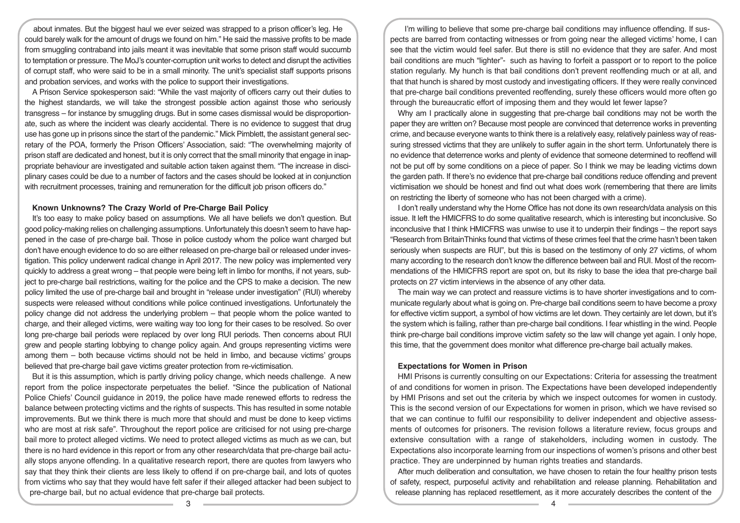about inmates. But the biggest haul we ever seized was strapped to a prison officer's leg. He could barely walk for the amount of drugs we found on him." He said the massive profits to be made from smuggling contraband into jails meant it was inevitable that some prison staff would succumb to temptation or pressure. The MoJ's counter-corruption unit works to detect and disrupt the activities of corrupt staff, who were said to be in a small minority. The unit's specialist staff supports prisons and probation services, and works with the police to support their investigations.

A Prison Service spokesperson said: "While the vast majority of officers carry out their duties to the highest standards, we will take the strongest possible action against those who seriously transgress – for instance by smuggling drugs. But in some cases dismissal would be disproportionate, such as where the incident was clearly accidental. There is no evidence to suggest that drug use has gone up in prisons since the start of the pandemic." Mick Pimblett, the assistant general secretary of the POA, formerly the Prison Officers' Association, said: "The overwhelming majority of prison staff are dedicated and honest, but it is only correct that the small minority that engage in inappropriate behaviour are investigated and suitable action taken against them. "The increase in disciplinary cases could be due to a number of factors and the cases should be looked at in conjunction with recruitment processes, training and remuneration for the difficult job prison officers do."

## **Known Unknowns? The Crazy World of Pre-Charge Bail Policy**

It's too easy to make policy based on assumptions. We all have beliefs we don't question. But good policy-making relies on challenging assumptions. Unfortunately this doesn't seem to have happened in the case of pre-charge bail. Those in police custody whom the police want charged but don't have enough evidence to do so are either released on pre-charge bail or released under investigation. This policy underwent radical change in April 2017. The new policy was implemented very quickly to address a great wrong – that people were being left in limbo for months, if not years, subject to pre-charge bail restrictions, waiting for the police and the CPS to make a decision. The new policy limited the use of pre-charge bail and brought in "release under investigation" (RUI) whereby suspects were released without conditions while police continued investigations. Unfortunately the policy change did not address the underlying problem – that people whom the police wanted to charge, and their alleged victims, were waiting way too long for their cases to be resolved. So over long pre-charge bail periods were replaced by over long RUI periods. Then concerns about RUI grew and people starting lobbying to change policy again. And groups representing victims were among them – both because victims should not be held in limbo, and because victims' groups believed that pre-charge bail gave victims greater protection from re-victimisation.

But it is this assumption, which is partly driving policy change, which needs challenge. A new report from the police inspectorate perpetuates the belief. "Since the publication of National Police Chiefs' Council guidance in 2019, the police have made renewed efforts to redress the balance between protecting victims and the rights of suspects. This has resulted in some notable improvements. But we think there is much more that should and must be done to keep victims who are most at risk safe". Throughout the report police are criticised for not using pre-charge bail more to protect alleged victims. We need to protect alleged victims as much as we can, but there is no hard evidence in this report or from any other research/data that pre-charge bail actually stops anyone offending. In a qualitative research report, there are quotes from lawyers who say that they think their clients are less likely to offend if on pre-charge bail, and lots of quotes from victims who say that they would have felt safer if their alleged attacker had been subject to pre-charge bail, but no actual evidence that pre-charge bail protects.

I'm willing to believe that some pre-charge bail conditions may influence offending. If suspects are barred from contacting witnesses or from going near the alleged victims' home, I can see that the victim would feel safer. But there is still no evidence that they are safer. And most bail conditions are much "lighter"- such as having to forfeit a passport or to report to the police station regularly. My hunch is that bail conditions don't prevent reoffending much or at all, and that that hunch is shared by most custody and investigating officers. If they were really convinced that pre-charge bail conditions prevented reoffending, surely these officers would more often go through the bureaucratic effort of imposing them and they would let fewer lapse?

Why am I practically alone in suggesting that pre-charge bail conditions may not be worth the paper they are written on? Because most people are convinced that deterrence works in preventing crime, and because everyone wants to think there is a relatively easy, relatively painless way of reassuring stressed victims that they are unlikely to suffer again in the short term. Unfortunately there is no evidence that deterrence works and plenty of evidence that someone determined to reoffend will not be put off by some conditions on a piece of paper. So I think we may be leading victims down the garden path. If there's no evidence that pre-charge bail conditions reduce offending and prevent victimisation we should be honest and find out what does work (remembering that there are limits on restricting the liberty of someone who has not been charged with a crime).

I don't really understand why the Home Office has not done its own research/data analysis on this issue. It left the HMICFRS to do some qualitative research, which is interesting but inconclusive. So inconclusive that I think HMICFRS was unwise to use it to underpin their findings – the report says "Research from BritainThinks found that victims of these crimes feel that the crime hasn't been taken seriously when suspects are RUI", but this is based on the testimony of only 27 victims, of whom many according to the research don't know the difference between bail and RUI. Most of the recommendations of the HMICFRS report are spot on, but its risky to base the idea that pre-charge bail protects on 27 victim interviews in the absence of any other data.

The main way we can protect and reassure victims is to have shorter investigations and to communicate regularly about what is going on. Pre-charge bail conditions seem to have become a proxy for effective victim support, a symbol of how victims are let down. They certainly are let down, but it's the system which is failing, rather than pre-charge bail conditions. I fear whistling in the wind. People think pre-charge bail conditions improve victim safety so the law will change yet again. I only hope, this time, that the government does monitor what difference pre-charge bail actually makes.

## **Expectations for Women in Prison**

HMI Prisons is currently consulting on our Expectations: Criteria for assessing the treatment of and conditions for women in prison. The Expectations have been developed independently by HMI Prisons and set out the criteria by which we inspect outcomes for women in custody. This is the second version of our Expectations for women in prison, which we have revised so that we can continue to fulfil our responsibility to deliver independent and objective assessments of outcomes for prisoners. The revision follows a literature review, focus groups and extensive consultation with a range of stakeholders, including women in custody. The Expectations also incorporate learning from our inspections of women's prisons and other best practice. They are underpinned by human rights treaties and standards.

After much deliberation and consultation, we have chosen to retain the four healthy prison tests of safety, respect, purposeful activity and rehabilitation and release planning. Rehabilitation and release planning has replaced resettlement, as it more accurately describes the content of the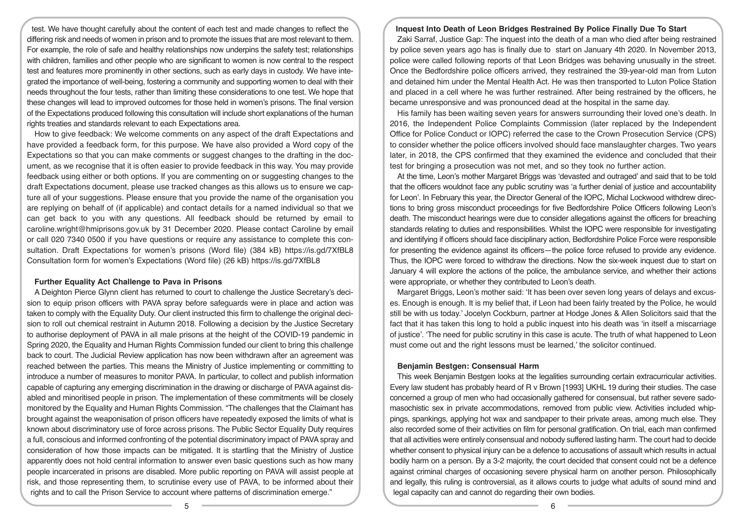test. We have thought carefully about the content of each test and made changes to reflect the differing risk and needs of women in prison and to promote the issues that are most relevant to them. For example, the role of safe and healthy relationships now underpins the safety test; relationships with children, families and other people who are significant to women is now central to the respect test and features more prominently in other sections, such as early days in custody. We have integrated the importance of well-being, fostering a community and supporting women to deal with their needs throughout the four tests, rather than limiting these considerations to one test. We hope that these changes will lead to improved outcomes for those held in women's prisons. The final version of the Expectations produced following this consultation will include short explanations of the human rights treaties and standards relevant to each Expectations area.

How to give feedback: We welcome comments on any aspect of the draft Expectations and have provided a feedback form, for this purpose. We have also provided a Word copy of the Expectations so that you can make comments or suggest changes to the drafting in the document, as we recognise that it is often easier to provide feedback in this way. You may provide feedback using either or both options. If you are commenting on or suggesting changes to the draft Expectations document, please use tracked changes as this allows us to ensure we capture all of your suggestions. Please ensure that you provide the name of the organisation you are replying on behalf of (if applicable) and contact details for a named individual so that we can get back to you with any questions. All feedback should be returned by email to caroline.wright@hmiprisons.gov.uk by 31 December 2020. Please contact Caroline by email or call 020 7340 0500 if you have questions or require any assistance to complete this consultation. Draft Expectations for women's prisons (Word file) (384 kB) https://is.gd/7XfBL8 Consultation form for women's Expectations (Word file) (26 kB) https://is.gd/7XfBL8

### **Further Equality Act Challenge to Pava in Prisons**

A Deighton Pierce Glynn client has returned to court to challenge the Justice Secretary's decision to equip prison officers with PAVA spray before safeguards were in place and action was taken to comply with the Equality Duty. Our client instructed this firm to challenge the original decision to roll out chemical restraint in Autumn 2018. Following a decision by the Justice Secretary to authorise deployment of PAVA in all male prisons at the height of the COVID-19 pandemic in Spring 2020, the Equality and Human Rights Commission funded our client to bring this challenge back to court. The Judicial Review application has now been withdrawn after an agreement was reached between the parties. This means the Ministry of Justice implementing or committing to introduce a number of measures to monitor PAVA. In particular, to collect and publish information capable of capturing any emerging discrimination in the drawing or discharge of PAVA against disabled and minoritised people in prison. The implementation of these commitments will be closely monitored by the Equality and Human Rights Commission. "The challenges that the Claimant has brought against the weaponisation of prison officers have repeatedly exposed the limits of what is known about discriminatory use of force across prisons. The Public Sector Equality Duty requires a full, conscious and informed confronting of the potential discriminatory impact of PAVA spray and consideration of how those impacts can be mitigated. It is startling that the Ministry of Justice apparently does not hold central information to answer even basic questions such as how many people incarcerated in prisons are disabled. More public reporting on PAVA will assist people at risk, and those representing them, to scrutinise every use of PAVA, to be informed about their rights and to call the Prison Service to account where patterns of discrimination emerge."

#### **Inquest Into Death of Leon Bridges Restrained By Police Finally Due To Start**

Zaki Sarraf, Justice Gap: The inquest into the death of a man who died after being restrained by police seven years ago has is finally due to start on January 4th 2020. In November 2013, police were called following reports of that Leon Bridges was behaving unusually in the street. Once the Bedfordshire police officers arrived, they restrained the 39-year-old man from Luton and detained him under the Mental Health Act. He was then transported to Luton Police Station and placed in a cell where he was further restrained. After being restrained by the officers, he became unresponsive and was pronounced dead at the hospital in the same day.

His family has been waiting seven years for answers surrounding their loved one's death. In 2016, the Independent Police Complaints Commission (later replaced by the Independent Office for Police Conduct or IOPC) referred the case to the Crown Prosecution Service (CPS) to consider whether the police officers involved should face manslaughter charges. Two years later, in 2018, the CPS confirmed that they examined the evidence and concluded that their test for bringing a prosecution was not met, and so they took no further action.

At the time, Leon's mother Margaret Briggs was 'devasted and outraged' and said that to be told that the officers wouldnot face any public scrutiny was 'a further denial of justice and accountability for Leon'. In February this year, the Director General of the IOPC, Michal Lockwood withdrew directions to bring gross misconduct proceedings for five Bedfordshire Police Officers following Leon's death. The misconduct hearings were due to consider allegations against the officers for breaching standards relating to duties and responsibilities. Whilst the IOPC were responsible for investigating and identifying if officers should face disciplinary action, Bedfordshire Police Force were responsible for presenting the evidence against its officers—the police force refused to provide any evidence. Thus, the IOPC were forced to withdraw the directions. Now the six-week inquest due to start on January 4 will explore the actions of the police, the ambulance service, and whether their actions were appropriate, or whether they contributed to Leon's death.

Margaret Briggs, Leon's mother said: 'It has been over seven long years of delays and excuses. Enough is enough. It is my belief that, if Leon had been fairly treated by the Police, he would still be with us today.' Jocelyn Cockburn, partner at Hodge Jones & Allen Solicitors said that the fact that it has taken this long to hold a public inquest into his death was 'in itself a miscarriage of justice'. 'The need for public scrutiny in this case is acute. The truth of what happened to Leon must come out and the right lessons must be learned,' the solicitor continued.

# **Benjamin Bestgen: Consensual Harm**

This week Benjamin Bestgen looks at the legalities surrounding certain extracurricular activities. Every law student has probably heard of R v Brown [1993] UKHL 19 during their studies. The case concerned a group of men who had occasionally gathered for consensual, but rather severe sadomasochistic sex in private accommodations, removed from public view. Activities included whippings, spankings, applying hot wax and sandpaper to their private areas, among much else. They also recorded some of their activities on film for personal gratification. On trial, each man confirmed that all activities were entirely consensual and nobody suffered lasting harm. The court had to decide whether consent to physical injury can be a defence to accusations of assault which results in actual bodily harm on a person. By a 3-2 majority, the court decided that consent could not be a defence against criminal charges of occasioning severe physical harm on another person. Philosophically and legally, this ruling is controversial, as it allows courts to judge what adults of sound mind and legal capacity can and cannot do regarding their own bodies.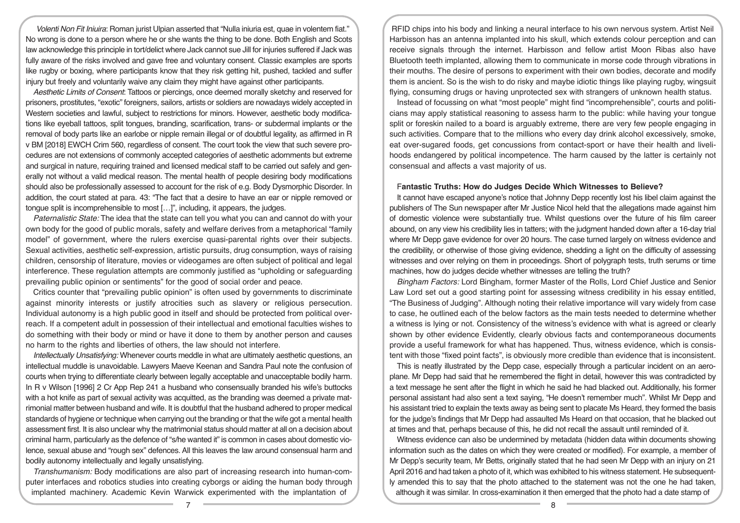*Volenti Non Fit Iniuira*: Roman jurist Ulpian asserted that "Nulla iniuria est, quae in volentem fiat." No wrong is done to a person where he or she wants the thing to be done. Both English and Scots law acknowledge this principle in tort/delict where Jack cannot sue Jill for injuries suffered if Jack was fully aware of the risks involved and gave free and voluntary consent. Classic examples are sports like rugby or boxing, where participants know that they risk getting hit, pushed, tackled and suffer injury but freely and voluntarily waive any claim they might have against other participants.

*Aesthetic Limits of Consent*: Tattoos or piercings, once deemed morally sketchy and reserved for prisoners, prostitutes, "exotic" foreigners, sailors, artists or soldiers are nowadays widely accepted in Western societies and lawful, subject to restrictions for minors. However, aesthetic body modifications like eyeball tattoos, split tongues, branding, scarification, trans- or subdermal implants or the removal of body parts like an earlobe or nipple remain illegal or of doubtful legality, as affirmed in R v BM [2018] EWCH Crim 560, regardless of consent. The court took the view that such severe procedures are not extensions of commonly accepted categories of aesthetic adornments but extreme and surgical in nature, requiring trained and licensed medical staff to be carried out safely and generally not without a valid medical reason. The mental health of people desiring body modifications should also be professionally assessed to account for the risk of e.g. Body Dysmorphic Disorder. In addition, the court stated at para. 43: "The fact that a desire to have an ear or nipple removed or tongue split is incomprehensible to most […]", including, it appears, the judges.

*Paternalistic State:* The idea that the state can tell you what you can and cannot do with your own body for the good of public morals, safety and welfare derives from a metaphorical "family model" of government, where the rulers exercise quasi-parental rights over their subjects. Sexual activities, aesthetic self-expression, artistic pursuits, drug consumption, ways of raising children, censorship of literature, movies or videogames are often subject of political and legal interference. These regulation attempts are commonly justified as "upholding or safeguarding prevailing public opinion or sentiments" for the good of social order and peace.

Critics counter that "prevailing public opinion" is often used by governments to discriminate against minority interests or justify atrocities such as slavery or religious persecution. Individual autonomy is a high public good in itself and should be protected from political overreach. If a competent adult in possession of their intellectual and emotional faculties wishes to do something with their body or mind or have it done to them by another person and causes no harm to the rights and liberties of others, the law should not interfere.

*Intellectually Unsatisfying:* Whenever courts meddle in what are ultimately aesthetic questions, an intellectual muddle is unavoidable. Lawyers Maeve Keenan and Sandra Paul note the confusion of courts when trying to differentiate clearly between legally acceptable and unacceptable bodily harm. In R v Wilson [1996] 2 Cr App Rep 241 a husband who consensually branded his wife's buttocks with a hot knife as part of sexual activity was acquitted, as the branding was deemed a private matrimonial matter between husband and wife. It is doubtful that the husband adhered to proper medical standards of hygiene or technique when carrying out the branding or that the wife got a mental health assessment first. It is also unclear why the matrimonial status should matter at all on a decision about criminal harm, particularly as the defence of "s/he wanted it" is common in cases about domestic violence, sexual abuse and "rough sex" defences. All this leaves the law around consensual harm and bodily autonomy intellectually and legally unsatisfying.

*Transhumanism:* Body modifications are also part of increasing research into human-computer interfaces and robotics studies into creating cyborgs or aiding the human body through implanted machinery. Academic Kevin Warwick experimented with the implantation of

RFID chips into his body and linking a neural interface to his own nervous system. Artist Neil Harbisson has an antenna implanted into his skull, which extends colour perception and can receive signals through the internet. Harbisson and fellow artist Moon Ribas also have Bluetooth teeth implanted, allowing them to communicate in morse code through vibrations in their mouths. The desire of persons to experiment with their own bodies, decorate and modify them is ancient. So is the wish to do risky and maybe idiotic things like playing rugby, wingsuit flying, consuming drugs or having unprotected sex with strangers of unknown health status.

Instead of focussing on what "most people" might find "incomprehensible", courts and politicians may apply statistical reasoning to assess harm to the public: while having your tongue split or foreskin nailed to a board is arguably extreme, there are very few people engaging in such activities. Compare that to the millions who every day drink alcohol excessively, smoke, eat over-sugared foods, get concussions from contact-sport or have their health and livelihoods endangered by political incompetence. The harm caused by the latter is certainly not consensual and affects a vast majority of us.

#### F**antastic Truths: How do Judges Decide Which Witnesses to Believe?**

It cannot have escaped anyone's notice that Johnny Depp recently lost his libel claim against the publishers of The Sun newspaper after Mr Justice Nicol held that the allegations made against him of domestic violence were substantially true. Whilst questions over the future of his film career abound, on any view his credibility lies in tatters; with the judgment handed down after a 16-day trial where Mr Depp gave evidence for over 20 hours. The case turned largely on witness evidence and the credibility, or otherwise of those giving evidence, shedding a light on the difficulty of assessing witnesses and over relying on them in proceedings. Short of polygraph tests, truth serums or time machines, how do judges decide whether witnesses are telling the truth?

*Bingham Factors:* Lord Bingham, former Master of the Rolls, Lord Chief Justice and Senior Law Lord set out a good starting point for assessing witness credibility in his essay entitled, "The Business of Judging". Although noting their relative importance will vary widely from case to case, he outlined each of the below factors as the main tests needed to determine whether a witness is lying or not. Consistency of the witness's evidence with what is agreed or clearly shown by other evidence Evidently, clearly obvious facts and contemporaneous documents provide a useful framework for what has happened. Thus, witness evidence, which is consistent with those "fixed point facts", is obviously more credible than evidence that is inconsistent.

This is neatly illustrated by the Depp case, especially through a particular incident on an aeroplane. Mr Depp had said that he remembered the flight in detail, however this was contradicted by a text message he sent after the flight in which he said he had blacked out. Additionally, his former personal assistant had also sent a text saying, "He doesn't remember much". Whilst Mr Depp and his assistant tried to explain the texts away as being sent to placate Ms Heard, they formed the basis for the judge's findings that Mr Depp had assaulted Ms Heard on that occasion, that he blacked out at times and that, perhaps because of this, he did not recall the assault until reminded of it.

Witness evidence can also be undermined by metadata (hidden data within documents showing information such as the dates on which they were created or modified). For example, a member of Mr Depp's security team, Mr Betts, originally stated that he had seen Mr Depp with an injury on 21 April 2016 and had taken a photo of it, which was exhibited to his witness statement. He subsequently amended this to say that the photo attached to the statement was not the one he had taken, although it was similar. In cross-examination it then emerged that the photo had a date stamp of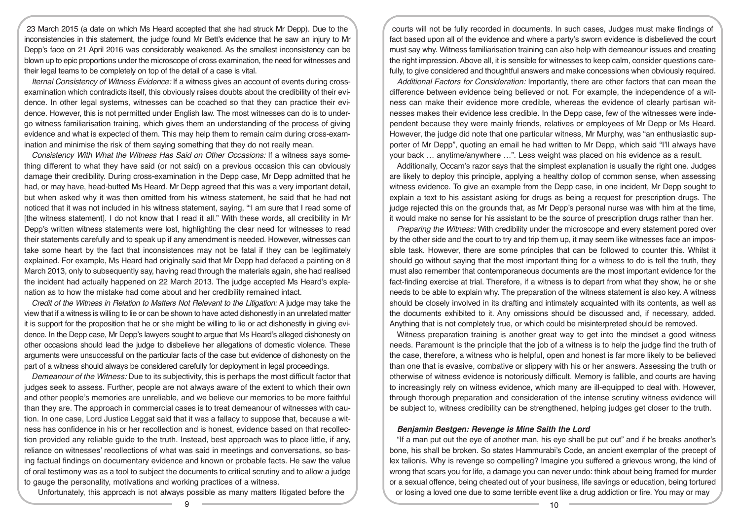23 March 2015 (a date on which Ms Heard accepted that she had struck Mr Depp). Due to the inconsistencies in this statement, the judge found Mr Bett's evidence that he saw an injury to Mr Depp's face on 21 April 2016 was considerably weakened. As the smallest inconsistency can be blown up to epic proportions under the microscope of cross examination, the need for witnesses and their legal teams to be completely on top of the detail of a case is vital.

*Iternal Consistency of Witness Evidence:* If a witness gives an account of events during crossexamination which contradicts itself, this obviously raises doubts about the credibility of their evidence. In other legal systems, witnesses can be coached so that they can practice their evidence. However, this is not permitted under English law. The most witnesses can do is to undergo witness familiarisation training, which gives them an understanding of the process of giving evidence and what is expected of them. This may help them to remain calm during cross-examination and minimise the risk of them saying something that they do not really mean.

*Consistency With What the Witness Has Said on Other Occasions:* If a witness says something different to what they have said (or not said) on a previous occasion this can obviously damage their credibility. During cross-examination in the Depp case, Mr Depp admitted that he had, or may have, head-butted Ms Heard. Mr Depp agreed that this was a very important detail, but when asked why it was then omitted from his witness statement, he said that he had not noticed that it was not included in his witness statement, saying, "'I am sure that I read some of [the witness statement]. I do not know that I read it all." With these words, all credibility in Mr Depp's written witness statements were lost, highlighting the clear need for witnesses to read their statements carefully and to speak up if any amendment is needed. However, witnesses can take some heart by the fact that inconsistences may not be fatal if they can be legitimately explained. For example, Ms Heard had originally said that Mr Depp had defaced a painting on 8 March 2013, only to subsequently say, having read through the materials again, she had realised the incident had actually happened on 22 March 2013. The judge accepted Ms Heard's explanation as to how the mistake had come about and her credibility remained intact.

*Credit of the Witness in Relation to Matters Not Relevant to the Litigation:* A judge may take the view that if a witness is willing to lie or can be shown to have acted dishonestly in an unrelated matter it is support for the proposition that he or she might be willing to lie or act dishonestly in giving evidence. In the Depp case, Mr Depp's lawyers sought to argue that Ms Heard's alleged dishonesty on other occasions should lead the judge to disbelieve her allegations of domestic violence. These arguments were unsuccessful on the particular facts of the case but evidence of dishonesty on the part of a witness should always be considered carefully for deployment in legal proceedings.

*Demeanour of the Witness:* Due to its subjectivity, this is perhaps the most difficult factor that judges seek to assess. Further, people are not always aware of the extent to which their own and other people's memories are unreliable, and we believe our memories to be more faithful than they are. The approach in commercial cases is to treat demeanour of witnesses with caution. In one case, Lord Justice Leggat said that it was a fallacy to suppose that, because a witness has confidence in his or her recollection and is honest, evidence based on that recollection provided any reliable guide to the truth. Instead, best approach was to place little, if any, reliance on witnesses' recollections of what was said in meetings and conversations, so basing factual findings on documentary evidence and known or probable facts. He saw the value of oral testimony was as a tool to subject the documents to critical scrutiny and to allow a judge to gauge the personality, motivations and working practices of a witness.

Unfortunately, this approach is not always possible as many matters litigated before the

courts will not be fully recorded in documents. In such cases, Judges must make findings of fact based upon all of the evidence and where a party's sworn evidence is disbelieved the court must say why. Witness familiarisation training can also help with demeanour issues and creating the right impression. Above all, it is sensible for witnesses to keep calm, consider questions carefully, to give considered and thoughtful answers and make concessions when obviously required.

*Additional Factors for Consideration:* Importantly, there are other factors that can mean the difference between evidence being believed or not. For example, the independence of a witness can make their evidence more credible, whereas the evidence of clearly partisan witnesses makes their evidence less credible. In the Depp case, few of the witnesses were independent because they were mainly friends, relatives or employees of Mr Depp or Ms Heard. However, the judge did note that one particular witness, Mr Murphy, was "an enthusiastic supporter of Mr Depp", quoting an email he had written to Mr Depp, which said "I'll always have your back … anytime/anywhere …". Less weight was placed on his evidence as a result.

Additionally, Occam's razor says that the simplest explanation is usually the right one. Judges are likely to deploy this principle, applying a healthy dollop of common sense, when assessing witness evidence. To give an example from the Depp case, in one incident, Mr Depp sought to explain a text to his assistant asking for drugs as being a request for prescription drugs. The judge rejected this on the grounds that, as Mr Depp's personal nurse was with him at the time, it would make no sense for his assistant to be the source of prescription drugs rather than her.

*Preparing the Witness:* With credibility under the microscope and every statement pored over by the other side and the court to try and trip them up, it may seem like witnesses face an impossible task. However, there are some principles that can be followed to counter this. Whilst it should go without saying that the most important thing for a witness to do is tell the truth, they must also remember that contemporaneous documents are the most important evidence for the fact-finding exercise at trial. Therefore, if a witness is to depart from what they show, he or she needs to be able to explain why. The preparation of the witness statement is also key. A witness should be closely involved in its drafting and intimately acquainted with its contents, as well as the documents exhibited to it. Any omissions should be discussed and, if necessary, added. Anything that is not completely true, or which could be misinterpreted should be removed.

Witness preparation training is another great way to get into the mindset a good witness needs. Paramount is the principle that the job of a witness is to help the judge find the truth of the case, therefore, a witness who is helpful, open and honest is far more likely to be believed than one that is evasive, combative or slippery with his or her answers. Assessing the truth or otherwise of witness evidence is notoriously difficult. Memory is fallible, and courts are having to increasingly rely on witness evidence, which many are ill-equipped to deal with. However, through thorough preparation and consideration of the intense scrutiny witness evidence will be subject to, witness credibility can be strengthened, helping judges get closer to the truth.

#### *Benjamin Bestgen: Revenge is Mine Saith the Lord*

"If a man put out the eye of another man, his eye shall be put out" and if he breaks another's bone, his shall be broken. So states Hammurabi's Code, an ancient exemplar of the precept of lex talionis. Why is revenge so compelling? Imagine you suffered a grievous wrong, the kind of wrong that scars you for life, a damage you can never undo: think about being framed for murder or a sexual offence, being cheated out of your business, life savings or education, being tortured or losing a loved one due to some terrible event like a drug addiction or fire. You may or may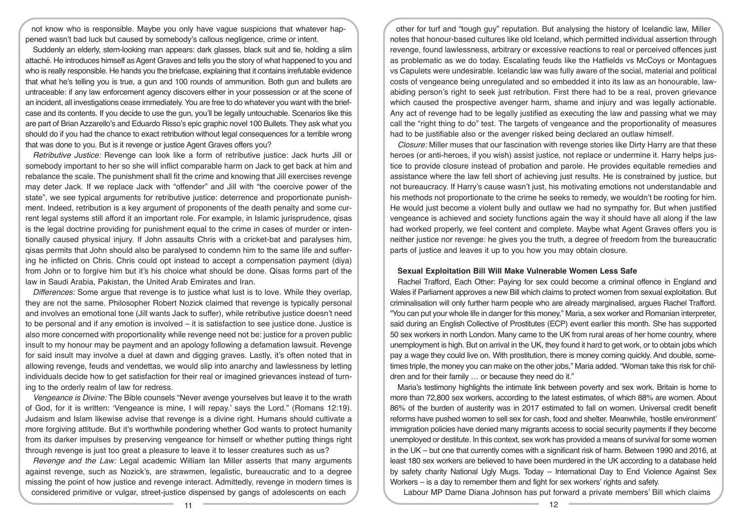not know who is responsible. Maybe you only have vague suspicions that whatever happened wasn't bad luck but caused by somebody's callous negligence, crime or intent.

Suddenly an elderly, stern-looking man appears: dark glasses, black suit and tie, holding a slim attaché. He introduces himself as Agent Graves and tells you the story of what happened to you and who is really responsible. He hands you the briefcase, explaining that it contains irrefutable evidence that what he's telling you is true, a gun and 100 rounds of ammunition. Both gun and bullets are untraceable: if any law enforcement agency discovers either in your possession or at the scene of an incident, all investigations cease immediately. You are free to do whatever you want with the briefcase and its contents. If you decide to use the gun, you'll be legally untouchable. Scenarios like this are part of Brian Azzarello's and Eduardo Risso's epic graphic novel 100 Bullets. They ask what you should do if you had the chance to exact retribution without legal consequences for a terrible wrong that was done to you. But is it revenge or justice Agent Graves offers you?

*Retributive Justice:* Revenge can look like a form of retributive justice: Jack hurts Jill or somebody important to her so she will inflict comparable harm on Jack to get back at him and rebalance the scale. The punishment shall fit the crime and knowing that Jill exercises revenge may deter Jack. If we replace Jack with "offender" and Jill with "the coercive power of the state", we see typical arguments for retributive justice: deterrence and proportionate punishment. Indeed, retribution is a key argument of proponents of the death penalty and some current legal systems still afford it an important role. For example, in Islamic jurisprudence, qisas is the legal doctrine providing for punishment equal to the crime in cases of murder or intentionally caused physical injury. If John assaults Chris with a cricket-bat and paralyses him, qisas permits that John should also be paralysed to condemn him to the same life and suffering he inflicted on Chris. Chris could opt instead to accept a compensation payment (diya) from John or to forgive him but it's his choice what should be done. Qisas forms part of the law in Saudi Arabia, Pakistan, the United Arab Emirates and Iran.

*Differences:* Some argue that revenge is to justice what lust is to love. While they overlap, they are not the same. Philosopher Robert Nozick claimed that revenge is typically personal and involves an emotional tone (Jill wants Jack to suffer), while retributive justice doesn't need to be personal and if any emotion is involved – it is satisfaction to see justice done. Justice is also more concerned with proportionality while revenge need not be: justice for a proven public insult to my honour may be payment and an apology following a defamation lawsuit. Revenge for said insult may involve a duel at dawn and digging graves. Lastly, it's often noted that in allowing revenge, feuds and vendettas, we would slip into anarchy and lawlessness by letting individuals decide how to get satisfaction for their real or imagined grievances instead of turning to the orderly realm of law for redress.

*Vengeance is Divine:* The Bible counsels "Never avenge yourselves but leave it to the wrath of God, for it is written: 'Vengeance is mine, I will repay.' says the Lord." (Romans 12:19). Judaism and Islam likewise advise that revenge is a divine right. Humans should cultivate a more forgiving attitude. But it's worthwhile pondering whether God wants to protect humanity from its darker impulses by preserving vengeance for himself or whether putting things right through revenge is just too great a pleasure to leave it to lesser creatures such as us?

*Revenge and the Law:* Legal academic William Ian Miller asserts that many arguments against revenge, such as Nozick's, are strawmen, legalistic, bureaucratic and to a degree missing the point of how justice and revenge interact. Admittedly, revenge in modern times is considered primitive or vulgar, street-justice dispensed by gangs of adolescents on each

other for turf and "tough guy" reputation. But analysing the history of Icelandic law, Miller notes that honour-based cultures like old Iceland, which permitted individual assertion through revenge, found lawlessness, arbitrary or excessive reactions to real or perceived offences just as problematic as we do today. Escalating feuds like the Hatfields vs McCoys or Montagues vs Capulets were undesirable. Icelandic law was fully aware of the social, material and political costs of vengeance being unregulated and so embedded it into its law as an honourable, lawabiding person's right to seek just retribution. First there had to be a real, proven grievance which caused the prospective avenger harm, shame and injury and was legally actionable. Any act of revenge had to be legally justified as executing the law and passing what we may call the "right thing to do" test. The targets of vengeance and the proportionality of measures had to be justifiable also or the avenger risked being declared an outlaw himself.

*Closure:* Miller muses that our fascination with revenge stories like Dirty Harry are that these heroes (or anti-heroes, if you wish) assist justice, not replace or undermine it. Harry helps justice to provide closure instead of probation and parole. He provides equitable remedies and assistance where the law fell short of achieving just results. He is constrained by justice, but not bureaucracy. If Harry's cause wasn't just, his motivating emotions not understandable and his methods not proportionate to the crime he seeks to remedy, we wouldn't be rooting for him. He would just become a violent bully and outlaw we had no sympathy for. But when justified vengeance is achieved and society functions again the way it should have all along if the law had worked properly, we feel content and complete. Maybe what Agent Graves offers you is neither justice nor revenge: he gives you the truth, a degree of freedom from the bureaucratic parts of justice and leaves it up to you how you may obtain closure.

## **Sexual Exploitation Bill Will Make Vulnerable Women Less Safe**

Rachel Trafford, Each Other: Paying for sex could become a criminal offence in England and Wales if Parliament approves a new Bill which claims to protect women from sexual exploitation. But criminalisation will only further harm people who are already marginalised, argues Rachel Trafford. "You can put your whole life in danger for this money," Maria, a sex worker and Romanian interpreter, said during an English Collective of Prostitutes (ECP) event earlier this month. She has supported 50 sex workers in north London. Many came to the UK from rural areas of her home country, where unemployment is high. But on arrival in the UK, they found it hard to get work, or to obtain jobs which pay a wage they could live on. With prostitution, there is money coming quickly. And double, sometimes triple, the money you can make on the other jobs," Maria added. "Woman take this risk for children and for their family … or because they need do it."

Maria's testimony highlights the intimate link between poverty and sex work. Britain is home to more than 72,800 sex workers, according to the latest estimates, of which 88% are women. About 86% of the burden of austerity was in 2017 estimated to fall on women. Universal credit benefit reforms have pushed women to sell sex for cash, food and shelter. Meanwhile, 'hostile environment' immigration policies have denied many migrants access to social security payments if they become unemployed or destitute. In this context, sex work has provided a means of survival for some women in the UK – but one that currently comes with a significant risk of harm. Between 1990 and 2016, at least 180 sex workers are believed to have been murdered in the UK according to a database held by safety charity National Ugly Mugs. Today – International Day to End Violence Against Sex Workers – is a day to remember them and fight for sex workers' rights and safety.

Labour MP Dame Diana Johnson has put forward a private members' Bill which claims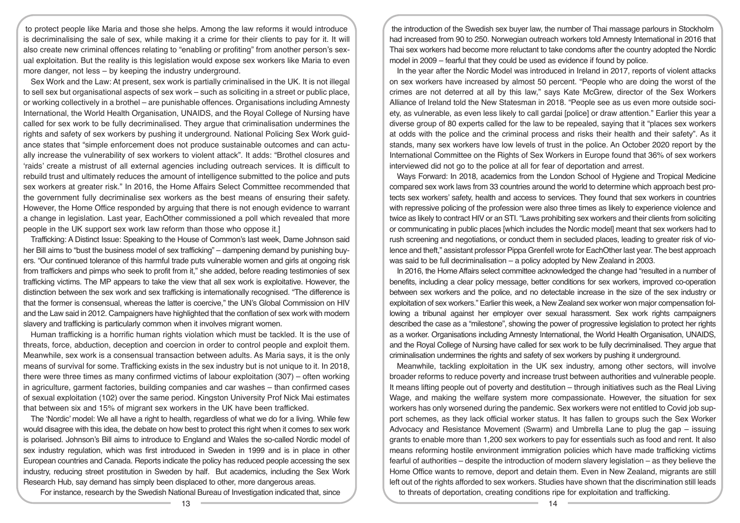to protect people like Maria and those she helps. Among the law reforms it would introduce is decriminalising the sale of sex, while making it a crime for their clients to pay for it. It will also create new criminal offences relating to "enabling or profiting" from another person's sexual exploitation. But the reality is this legislation would expose sex workers like Maria to even more danger, not less – by keeping the industry underground.

Sex Work and the Law: At present, sex work is partially criminalised in the UK. It is not illegal to sell sex but organisational aspects of sex work – such as soliciting in a street or public place, or working collectively in a brothel – are punishable offences. Organisations including Amnesty International, the World Health Organisation, UNAIDS, and the Royal College of Nursing have called for sex work to be fully decriminalised. They argue that criminalisation undermines the rights and safety of sex workers by pushing it underground. National Policing Sex Work guidance states that "simple enforcement does not produce sustainable outcomes and can actually increase the vulnerability of sex workers to violent attack". It adds: "Brothel closures and 'raids' create a mistrust of all external agencies including outreach services. It is difficult to rebuild trust and ultimately reduces the amount of intelligence submitted to the police and puts sex workers at greater risk." In 2016, the Home Affairs Select Committee recommended that the government fully decriminalise sex workers as the best means of ensuring their safety. However, the Home Office responded by arguing that there is not enough evidence to warrant a change in legislation. Last year, EachOther commissioned a poll which revealed that more people in the UK support sex work law reform than those who oppose it.]

Trafficking: A Distinct Issue: Speaking to the House of Common's last week, Dame Johnson said her Bill aims to "bust the business model of sex trafficking" – dampening demand by punishing buyers. "Our continued tolerance of this harmful trade puts vulnerable women and girls at ongoing risk from traffickers and pimps who seek to profit from it," she added, before reading testimonies of sex trafficking victims. The MP appears to take the view that all sex work is exploitative. However, the distinction between the sex work and sex trafficking is internationally recognised. "The difference is that the former is consensual, whereas the latter is coercive," the UN's Global Commission on HIV and the Law said in 2012. Campaigners have highlighted that the conflation of sex work with modern slavery and trafficking is particularly common when it involves migrant women.

Human trafficking is a horrific human rights violation which must be tackled. It is the use of threats, force, abduction, deception and coercion in order to control people and exploit them. Meanwhile, sex work is a consensual transaction between adults. As Maria says, it is the only means of survival for some. Trafficking exists in the sex industry but is not unique to it. In 2018, there were three times as many confirmed victims of labour exploitation (307) – often working in agriculture, garment factories, building companies and car washes – than confirmed cases of sexual exploitation (102) over the same period. Kingston University Prof Nick Mai estimates that between six and 15% of migrant sex workers in the UK have been trafficked.

The 'Nordic' model: We all have a right to health, regardless of what we do for a living. While few would disagree with this idea, the debate on how best to protect this right when it comes to sex work is polarised. Johnson's Bill aims to introduce to England and Wales the so-called Nordic model of sex industry regulation, which was first introduced in Sweden in 1999 and is in place in other European countries and Canada. Reports indicate the policy has reduced people accessing the sex industry, reducing street prostitution in Sweden by half. But academics, including the Sex Work Research Hub, say demand has simply been displaced to other, more dangerous areas.

For instance, research by the Swedish National Bureau of Investigation indicated that, since

the introduction of the Swedish sex buyer law, the number of Thai massage parlours in Stockholm had increased from 90 to 250. Norwegian outreach workers told Amnesty International in 2016 that Thai sex workers had become more reluctant to take condoms after the country adopted the Nordic model in 2009 – fearful that they could be used as evidence if found by police.

In the year after the Nordic Model was introduced in Ireland in 2017, reports of violent attacks on sex workers have increased by almost 50 percent. "People who are doing the worst of the crimes are not deterred at all by this law," says Kate McGrew, director of the Sex Workers Alliance of Ireland told the New Statesman in 2018. "People see as us even more outside society, as vulnerable, as even less likely to call gardai [police] or draw attention." Earlier this year a diverse group of 80 experts called for the law to be repealed, saying that it "places sex workers at odds with the police and the criminal process and risks their health and their safety". As it stands, many sex workers have low levels of trust in the police. An October 2020 report by the International Committee on the Rights of Sex Workers in Europe found that 36% of sex workers interviewed did not go to the police at all for fear of deportation and arrest.

Ways Forward: In 2018, academics from the London School of Hygiene and Tropical Medicine compared sex work laws from 33 countries around the world to determine which approach best protects sex workers' safety, health and access to services. They found that sex workers in countries with repressive policing of the profession were also three times as likely to experience violence and twice as likely to contract HIV or an STI. "Laws prohibiting sex workers and their clients from soliciting or communicating in public places [which includes the Nordic model] meant that sex workers had to rush screening and negotiations, or conduct them in secluded places, leading to greater risk of violence and theft," assistant professor Pippa Grenfell wrote for EachOther last year. The best approach was said to be full decriminalisation – a policy adopted by New Zealand in 2003.

In 2016, the Home Affairs select committee acknowledged the change had "resulted in a number of benefits, including a clear policy message, better conditions for sex workers, improved co-operation between sex workers and the police, and no detectable increase in the size of the sex industry or exploitation of sex workers." Earlier this week, a New Zealand sex worker won major compensation following a tribunal against her employer over sexual harassment. Sex work rights campaigners described the case as a "milestone", showing the power of progressive legislation to protect her rights as a worker. Organisations including Amnesty International, the World Health Organisation, UNAIDS, and the Royal College of Nursing have called for sex work to be fully decriminalised. They argue that criminalisation undermines the rights and safety of sex workers by pushing it underground.

Meanwhile, tackling exploitation in the UK sex industry, among other sectors, will involve broader reforms to reduce poverty and increase trust between authorities and vulnerable people. It means lifting people out of poverty and destitution – through initiatives such as the Real Living Wage, and making the welfare system more compassionate. However, the situation for sex workers has only worsened during the pandemic. Sex workers were not entitled to Covid job support schemes, as they lack official worker status. It has fallen to groups such the Sex Worker Advocacy and Resistance Movement (Swarm) and Umbrella Lane to plug the gap – issuing grants to enable more than 1,200 sex workers to pay for essentials such as food and rent. It also means reforming hostile environment immigration policies which have made trafficking victims fearful of authorities – despite the introduction of modern slavery legislation – as they believe the Home Office wants to remove, deport and detain them. Even in New Zealand, migrants are still left out of the rights afforded to sex workers. Studies have shown that the discrimination still leads to threats of deportation, creating conditions ripe for exploitation and trafficking.